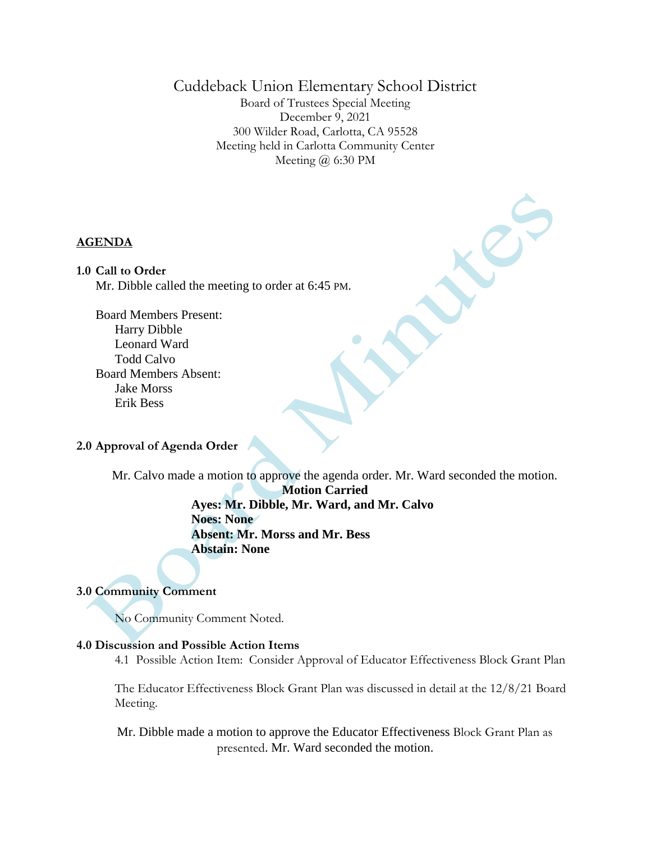# Cuddeback Union Elementary School District

Board of Trustees Special Meeting December 9, 2021 300 Wilder Road, Carlotta, CA 95528 Meeting held in Carlotta Community Center Meeting @ 6:30 PM

#### **AGENDA**

#### **1.0 Call to Order**

Mr. Dibble called the meeting to order at 6:45 PM.

Board Members Present: Harry Dibble Leonard Ward Todd Calvo Board Members Absent: Jake Morss Erik Bess

### **2.0 Approval of Agenda Order**

Mr. Calvo made a motion to approve the agenda order. Mr. Ward seconded the motion.

**Motion Carried Ayes: Mr. Dibble, Mr. Ward, and Mr. Calvo Noes: None Absent: Mr. Morss and Mr. Bess Abstain: None**

### **3.0 Community Comment**

No Community Comment Noted.

#### **4.0 Discussion and Possible Action Items**

4.1 Possible Action Item: Consider Approval of Educator Effectiveness Block Grant Plan

The Educator Effectiveness Block Grant Plan was discussed in detail at the 12/8/21 Board Meeting.

Mr. Dibble made a motion to approve the Educator Effectiveness Block Grant Plan as presented. Mr. Ward seconded the motion.